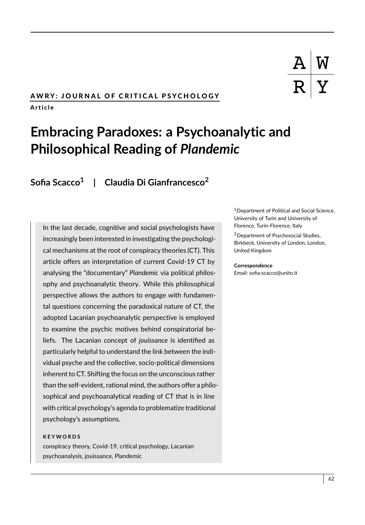# AWRY: JOURNAL OF CRITICAL PSYCHOLOGY A r t i c l e

# **Embracing Paradoxes: a Psychoanalytic and Philosophical Reading of** *Plandemic*

**Sofia Scacco<sup>1</sup> | Claudia Di Gianfrancesco<sup>2</sup>**

In the last decade, cognitive and social psychologists have increasingly been interested in investigating the psychological mechanisms at the root of conspiracy theories (CT). This article offers an interpretation of current Covid-19 CT by analysing the "documentary" *Plandemic* via political philosophy and psychoanalytic theory. While this philosophical perspective allows the authors to engage with fundamental questions concerning the paradoxical nature of CT, the adopted Lacanian psychoanalytic perspective is employed to examine the psychic motives behind conspiratorial beliefs. The Lacanian concept of *jouissance* is identified as particularly helpful to understand the link between the individual psyche and the collective, socio-political dimensions inherent to CT. Shifting the focus on the unconscious rather than the self-evident, rational mind, the authors offer a philosophical and psychoanalytical reading of CT that is in line with critical psychology's agenda to problematize traditional psychology's assumptions.

#### **K E Y W O R D S**

conspiracy theory, Covid-19, critical psychology, Lacanian psychoanalysis, jouissance, Plandemic

<sup>1</sup> Department of Political and Social Science, University of Turin and University of Florence, Turin-Florence, Italy

<sup>2</sup>Department of Psychosocial Studies, Birkbeck, University of London, London, United Kingdom

#### **Correspondence**

Email: sofia.scacco@unito.it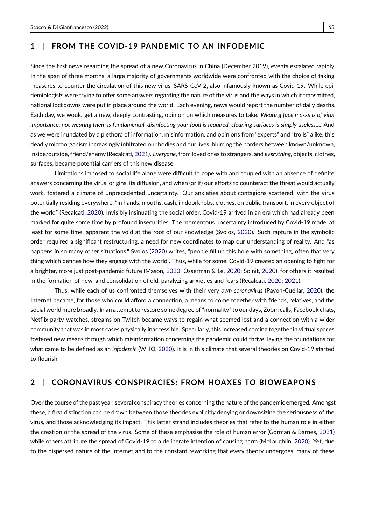# **1** | **FROM THE COVID-19 PANDEMIC TO AN INFODEMIC**

Since the first news regarding the spread of a new Coronavirus in China (December 2019), events escalated rapidly. In the span of three months, a large majority of governments worldwide were confronted with the choice of taking measures to counter the circulation of this new virus, SARS-CoV-2, also infamously known as Covid-19. While epidemiologists were trying to offer some answers regarding the nature of the virus and the ways in which it transmitted, national lockdowns were put in place around the world. Each evening, news would report the number of daily deaths. Each day, we would get a new, deeply contrasting, opinion on which measures to take. *Wearing face masks is of vital importance, not wearing them is fundamental, disinfecting your food is required, cleaning surfaces is simply useless....* And as we were inundated by a plethora of information, misinformation, and opinions from "experts" and "trolls" alike, this deadly microorganism increasingly infiltrated our bodies and our lives, blurring the borders between known/unknown, inside/outside, friend/enemy (Recalcati, [2021\)](#page-13-0). *Everyone*, from loved ones to strangers, and *everything*, objects, clothes, surfaces, became potential carriers of this new disease.

Limitations imposed to social life alone were difficult to cope with and coupled with an absence of definite answers concerning the virus' origins, its diffusion, and when (or if) our efforts to counteract the threat would actually work, fostered a climate of unprecedented uncertainty. Our anxieties about contagions scattered, with the virus potentially residing everywhere, "in hands, mouths, cash, in doorknobs, clothes, on public transport, in every object of the world" (Recalcati, [2020\)](#page-13-1). Invisibly insinuating the social order, Covid-19 arrived in an era which had already been marked for quite some time by profound insecurities. The momentous uncertainty introduced by Covid-19 made, at least for some time, apparent the void at the root of our knowledge (Svolos, [2020\)](#page-13-2). Such rapture in the symbolic order required a significant restructuring, a need for new coordinates to map our understanding of reality. And "as happens in so many other situations," Svolos [\(2020\)](#page-13-2) writes, "people fill up this hole with something, often that very thing which defines how they engage with the world". Thus, while for some, Covid-19 created an opening to fight for a brighter, more just post-pandemic future (Mason, [2020;](#page-12-0) Osserman & Lê, [2020;](#page-13-3) Solnit, [2020\)](#page-13-4), for others it resulted in the formation of new, and consolidation of old, paralyzing anxieties and fears (Recalcati, [2020;](#page-13-1) [2021\)](#page-13-0).

Thus, while each of us confronted themselves with their very *own coronavirus* (Pavón-Cuéllar, [2020\)](#page-13-5), the Internet became, for those who could afford a connection, a means to come together with friends, relatives, and the social world more broadly. In an attempt to restore some degree of "normality" to our days, Zoom calls, Facebook chats, Netflix party-watches, streams on Twitch became ways to regain what seemed lost and a connection with a wider community that was in most cases physically inaccessible. Specularly, this increased coming together in virtual spaces fostered new means through which misinformation concerning the pandemic could thrive, laying the foundations for what came to be defined as an *infodemic* (WHO, [2020\)](#page-14-0). It is in this climate that several theories on Covid-19 started to flourish.

## **2** | **CORONAVIRUS CONSPIRACIES: FROM HOAXES TO BIOWEAPONS**

Over the course of the past year, several conspiracy theories concerning the nature of the pandemic emerged. Amongst these, a first distinction can be drawn between those theories explicitly denying or downsizing the seriousness of the virus, and those acknowledging its impact. This latter strand includes theories that refer to the human role in either the creation or the spread of the virus. Some of these emphasise the role of human error (Gorman & Barnes, [2021\)](#page-12-1) while others attribute the spread of Covid-19 to a deliberate intention of causing harm (McLaughlin, [2020\)](#page-12-2). Yet, due to the dispersed nature of the Internet and to the constant reworking that every theory undergoes, many of these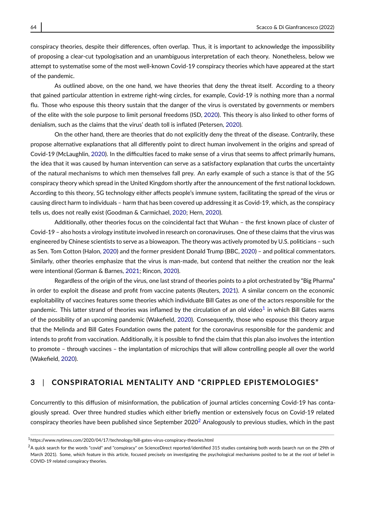conspiracy theories, despite their differences, often overlap. Thus, it is important to acknowledge the impossibility of proposing a clear-cut typologisation and an unambiguous interpretation of each theory. Nonetheless, below we attempt to systematise some of the most well-known Covid-19 conspiracy theories which have appeared at the start of the pandemic.

As outlined above, on the one hand, we have theories that deny the threat itself. According to a theory that gained particular attention in extreme right-wing circles, for example, Covid-19 is nothing more than a normal flu. Those who espouse this theory sustain that the danger of the virus is overstated by governments or members of the elite with the sole purpose to limit personal freedoms (ISD, [2020\)](#page-12-3). This theory is also linked to other forms of denialism, such as the claims that the virus' death toll is inflated (Petersen, [2020\)](#page-13-6).

On the other hand, there are theories that do not explicitly deny the threat of the disease. Contrarily, these propose alternative explanations that all differently point to direct human involvement in the origins and spread of Covid-19 (McLaughlin, [2020\)](#page-12-2). In the difficulties faced to make sense of a virus that seems to affect primarily humans, the idea that it was caused by human intervention can serve as a satisfactory explanation that curbs the uncertainty of the natural mechanisms to which men themselves fall prey. An early example of such a stance is that of the 5G conspiracy theory which spread in the United Kingdom shortly after the announcement of the first national lockdown. According to this theory, 5G technology either affects people's immune system, facilitating the spread of the virus or causing direct harm to individuals – harm that has been covered up addressing it as Covid-19, which, as the conspiracy tells us, does not really exist (Goodman & Carmichael, [2020;](#page-11-0) Hern, [2020\)](#page-12-4).

Additionally, other theories focus on the coincidental fact that Wuhan – the first known place of cluster of Covid-19 – also hosts a virology institute involved in research on coronaviruses. One of these claims that the virus was engineered by Chinese scientists to serve as a bioweapon. The theory was actively promoted by U.S. politicians – such as Sen. Tom Cotton (Halon, [2020\)](#page-12-5) and the former president Donald Trump (BBC, [2020\)](#page-11-1) – and political commentators. Similarly, other theories emphasize that the virus is man-made, but contend that neither the creation nor the leak were intentional (Gorman & Barnes, [2021;](#page-12-1) Rincon, [2020\)](#page-13-7).

Regardless of the origin of the virus, one last strand of theories points to a plot orchestrated by "Big Pharma" in order to exploit the disease and profit from vaccine patents (Reuters, [2021\)](#page-13-8). A similar concern on the economic exploitability of vaccines features some theories which individuate Bill Gates as one of the actors responsible for the pandemic. This latter strand of theories was inflamed by the circulation of an old video<sup>[1](#page-2-0)</sup> in which Bill Gates warns of the possibility of an upcoming pandemic (Wakefield, [2020\)](#page-14-1). Consequently, those who espouse this theory argue that the Melinda and Bill Gates Foundation owns the patent for the coronavirus responsible for the pandemic and intends to profit from vaccination. Additionally, it is possible to find the claim that this plan also involves the intention to promote – through vaccines – the implantation of microchips that will allow controlling people all over the world (Wakefield, [2020\)](#page-14-1).

## **3** | **CONSPIRATORIAL MENTALITY AND "CRIPPLED EPISTEMOLOGIES"**

Concurrently to this diffusion of misinformation, the publication of journal articles concerning Covid-19 has contagiously spread. Over three hundred studies which either briefly mention or extensively focus on Covid-19 related conspiracy theories have been published since September [2](#page-2-1)020<sup>2</sup> Analogously to previous studies, which in the past

<span id="page-2-0"></span><sup>1</sup>https://www.nytimes.com/2020/04/17/technology/bill-gates-virus-conspiracy-theories.html

<span id="page-2-1"></span><sup>&</sup>lt;sup>2</sup>A quick search for the words "covid" and "conspiracy" on ScienceDirect reported/identified 315 studies containing both words (search run on the 29th of March 2021). Some, which feature in this article, focused precisely on investigating the psychological mechanisms posited to be at the root of belief in COVID-19 related conspiracy theories.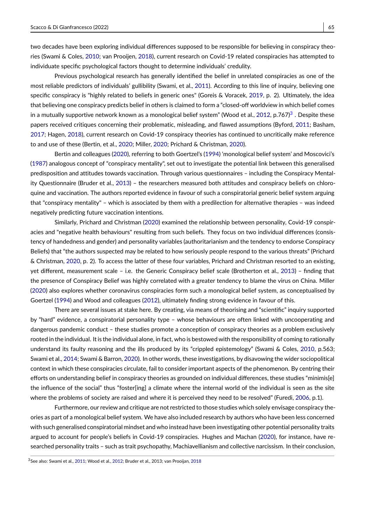two decades have been exploring individual differences supposed to be responsible for believing in conspiracy theories (Swami & Coles, [2010;](#page-14-2) van Prooijen, [2018\)](#page-14-3), current research on Covid-19 related conspiracies has attempted to individuate specific psychological factors thought to determine individuals' credulity.

Previous psychological research has generally identified the belief in unrelated conspiracies as one of the most reliable predictors of individuals' gullibility (Swami, et al., [2011\)](#page-14-4). According to this line of inquiry, believing one specific conspiracy is "highly related to beliefs in generic ones" (Goreis & Voracek, [2019,](#page-11-2) p. 2). Ultimately, the idea that believing one conspiracy predicts belief in others is claimed to form a "closed-off worldview in which belief comes in a mutually supportive network known as a monological belief system" (Wood et al., [2012,](#page-14-5) p.767) $^3$  $^3$  . Despite these papers received critiques concerning their problematic, misleading, and flawed assumptions (Byford, [2011;](#page-11-3) Basham, [2017;](#page-11-4) Hagen, [2018\)](#page-12-6), current research on Covid-19 conspiracy theories has continued to uncritically make reference to and use of these (Bertin, et al., [2020;](#page-11-5) Miller, [2020;](#page-12-7) Prichard & Christman, [2020\)](#page-13-9).

Bertin and colleagues [\(2020\)](#page-11-5), referring to both Goertzel's [\(1994\)](#page-11-6) 'monological belief system' and Moscovici's [\(1987\)](#page-13-10) analogous concept of "conspiracy mentality", set out to investigate the potential link between this generalised predisposition and attitudes towards vaccination. Through various questionnaires – including the Conspiracy Mentality Questionnaire (Bruder et al., [2013\)](#page-11-7) – the researchers measured both attitudes and conspiracy beliefs on chloroquine and vaccination. The authors reported evidence in favour of such a conspiratorial generic belief system arguing that "conspiracy mentality" – which is associated by them with a predilection for alternative therapies – was indeed negatively predicting future vaccination intentions.

Similarly, Prichard and Christman [\(2020\)](#page-13-9) examined the relationship between personality, Covid-19 conspiracies and "negative health behaviours" resulting from such beliefs. They focus on two individual differences (consistency of handedness and gender) and personality variables (authoritarianism and the tendency to endorse Conspiracy Beliefs) that "the authors suspected may be related to how seriously people respond to the various threats" (Prichard & Christman, [2020,](#page-13-9) p. 2). To access the latter of these four variables, Prichard and Christman resorted to an existing, yet different, measurement scale – i.e. the Generic Conspiracy belief scale (Brotherton et al., [2013\)](#page-11-8) – finding that the presence of Conspiracy Belief was highly correlated with a greater tendency to blame the virus on China. Miller [\(2020\)](#page-12-7) also explores whether coronavirus conspiracies form such a monological belief system, as conceptualised by Goertzel [\(1994\)](#page-11-6) and Wood and colleagues [\(2012\)](#page-14-5), ultimately finding strong evidence in favour of this.

There are several issues at stake here. By creating, via means of theorising and "scientific" inquiry supported by "hard" evidence, a conspiratorial personality type – whose behaviours are often linked with uncooperating and dangerous pandemic conduct – these studies promote a conception of conspiracy theories as a problem exclusively rooted in the individual. It is the individual alone, in fact, who is bestowed with the responsibility of coming to rationally understand its faulty reasoning and the ills produced by its "crippled epistemology" (Swami & Coles, [2010,](#page-14-2) p.563; Swami et al., [2014;](#page-14-6) Swami & Barron, [2020\)](#page-14-7). In other words, these investigations, by disavowing the wider sociopolitical context in which these conspiracies circulate, fail to consider important aspects of the phenomenon. By centring their efforts on understanding belief in conspiracy theories as grounded on individual differences, these studies "minimis[e] the influence of the social" thus "foster[ing] a climate where the internal world of the individual is seen as the site where the problems of society are raised and where it is perceived they need to be resolved" (Furedi, [2006,](#page-11-9) p.1).

Furthermore, our review and critique are not restricted to those studies which solely envisage conspiracy theories as part of a monological belief system. We have also included research by authors who have been less concerned with such generalised conspiratorial mindset and who instead have been investigating other potential personality traits argued to account for people's beliefs in Covid-19 conspiracies. Hughes and Machan [\(2020\)](#page-12-8), for instance, have researched personality traits – such as trait psychopathy, Machiavellianism and collective narcissism. In their conclusion,

<span id="page-3-0"></span><sup>3</sup>See also: Swami et al., [2011;](#page-14-4) Wood et al., [2012;](#page-14-5) Bruder et al., 2013; van Prooijan, [2018](#page-14-3)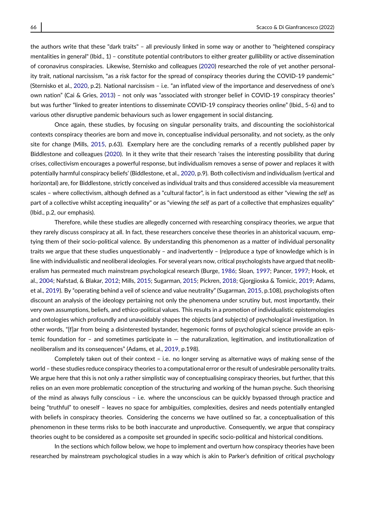the authors write that these "dark traits" – all previously linked in some way or another to "heightened conspiracy mentalities in general" (Ibid., 1) – constitute potential contributors to either greater gullibility or active dissemination of coronavirus conspiracies. Likewise, Sternisko and colleagues [\(2020\)](#page-13-11) researched the role of yet another personality trait, national narcissism, "as a risk factor for the spread of conspiracy theories during the COVID-19 pandemic" (Sternisko et al., [2020,](#page-13-11) p.2). National narcissism – i.e. "an inflated view of the importance and deservedness of one's own nation" (Cai & Gries, [2013\)](#page-11-10) – not only was "associated with stronger belief in COVID-19 conspiracy theories" but was further "linked to greater intentions to disseminate COVID-19 conspiracy theories online" (Ibid., 5-6) and to various other disruptive pandemic behaviours such as lower engagement in social distancing.

Once again, these studies, by focusing on singular personality traits, and discounting the sociohistorical contexts conspiracy theories are born and move in, conceptualise individual personality, and not society, as the only site for change (Mills, [2015,](#page-13-12) p.63). Exemplary here are the concluding remarks of a recently published paper by Biddlestone and colleagues [\(2020\)](#page-11-11). In it they write that their research 'raises the interesting possibility that during crises, collectivism encourages a powerful response, but individualism removes a sense of power and replaces it with potentially harmful conspiracy beliefs' (Biddlestone, et al., [2020,](#page-11-11) p.9). Both collectivism and individualism (vertical and horizontal) are, for Biddlestone, strictly conceived as individual traits and thus considered accessible via measurement scales – where collectivism, although defined as a "cultural factor", is in fact understood as either "viewing *the self* as part of a collective whilst accepting inequality" or as "viewing *the self* as part of a collective that emphasizes equality" (Ibid., p.2, our emphasis).

Therefore, while these studies are allegedly concerned with researching conspiracy theories, we argue that they rarely discuss conspiracy at all. In fact, these researchers conceive these theories in an ahistorical vacuum, emptying them of their socio-political valence. By understanding this phenomenon as a matter of individual personality traits we argue that these studies unquestionably – and inadvertently – (re)produce a type of knowledge which is in line with individualistic and neoliberal ideologies. For several years now, critical psychologists have argued that neoliberalism has permeated much mainstream psychological research (Burge, [1986;](#page-11-12) Sloan, [1997;](#page-13-13) Pancer, [1997;](#page-13-14) Hook, et al., [2004;](#page-12-9) Nafstad, & Blakar, [2012;](#page-13-15) Mills, [2015;](#page-13-12) Sugarman, [2015;](#page-13-16) Pickren, [2018;](#page-13-17) Gjorgjioska & Tomicic, [2019;](#page-11-13) Adams, et al., [2019\)](#page-11-14). By "operating behind a veil of science and value neutrality" (Sugarman, [2015,](#page-13-16) p.108), psychologists often discount an analysis of the ideology pertaining not only the phenomena under scrutiny but, most importantly, their very own assumptions, beliefs, and ethico-political values. This results in a promotion of individualistic epistemologies and ontologies which profoundly and unavoidably shapes the objects (and subjects) of psychological investigation. In other words, "[f]ar from being a disinterested bystander, hegemonic forms of psychological science provide an epistemic foundation for – and sometimes participate in  $-$  the naturalization, legitimation, and institutionalization of neoliberalism and its consequences" (Adams, et al., [2019,](#page-11-14) p.198).

Completely taken out of their context – i.e. no longer serving as alternative ways of making sense of the world – these studies reduce conspiracy theories to a computational error or the result of undesirable personality traits. We argue here that this is not only a rather simplistic way of conceptualising conspiracy theories, but further, that this relies on an even more problematic conception of the structuring and working of the human psyche. Such theorising of the mind as always fully conscious – i.e. where the unconscious can be quickly bypassed through practice and being "truthful" to oneself – leaves no space for ambiguities, complexities, desires and needs potentially entangled with beliefs in conspiracy theories. Considering the concerns we have outlined so far, a conceptualisation of this phenomenon in these terms risks to be both inaccurate and unproductive. Consequently, we argue that conspiracy theories ought to be considered as a composite set grounded in specific socio-political and historical conditions.

In the sections which follow below, we hope to implement and overturn how conspiracy theories have been researched by mainstream psychological studies in a way which is akin to Parker's definition of critical psychology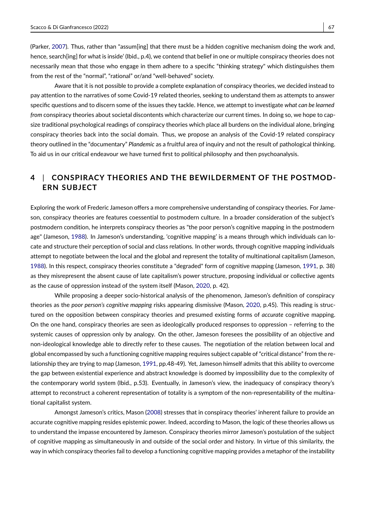(Parker, [2007\)](#page-13-18). Thus, rather than "assum[ing] that there must be a hidden cognitive mechanism doing the work and, hence, search[ing] for what is inside' (Ibid., p.4), we contend that belief in one or multiple conspiracy theories does not necessarily mean that those who engage in them adhere to a specific "thinking strategy" which distinguishes them from the rest of the "normal", "rational" or/and "well-behaved" society.

Aware that it is not possible to provide a complete explanation of conspiracy theories, we decided instead to pay attention to the narratives of some Covid-19 related theories, seeking to understand them as attempts to answer specific questions and to discern some of the issues they tackle. Hence, we attempt to investigate *what can be learned from* conspiracy theories about societal discontents which characterize our current times. In doing so, we hope to capsize traditional psychological readings of conspiracy theories which place all burdens on the individual alone, bringing conspiracy theories back into the social domain. Thus, we propose an analysis of the Covid-19 related conspiracy theory outlined in the "documentary" *Plandemic* as a fruitful area of inquiry and not the result of pathological thinking. To aid us in our critical endeavour we have turned first to political philosophy and then psychoanalysis.

# **4** | **CONSPIRACY THEORIES AND THE BEWILDERMENT OF THE POSTMOD-ERN SUBJECT**

Exploring the work of Frederic Jameson offers a more comprehensive understanding of conspiracy theories. For Jameson, conspiracy theories are features coessential to postmodern culture. In a broader consideration of the subject's postmodern condition, he interprets conspiracy theories as "the poor person's cognitive mapping in the postmodern age" (Jameson, [1988\)](#page-12-10). In Jameson's understanding, 'cognitive mapping' is a means through which individuals can locate and structure their perception of social and class relations. In other words, through cognitive mapping individuals attempt to negotiate between the local and the global and represent the totality of multinational capitalism (Jameson, [1988\)](#page-12-10). In this respect, conspiracy theories constitute a "degraded" form of cognitive mapping (Jameson, [1991,](#page-12-11) p. 38) as they misrepresent the absent cause of late capitalism's power structure, proposing individual or collective agents as the cause of oppression instead of the system itself (Mason, [2020,](#page-12-0) p. 42).

While proposing a deeper socio-historical analysis of the phenomenon, Jameson's definition of conspiracy theories as the *poor person's cognitive mapping* risks appearing dismissive (Mason, [2020,](#page-12-0) p.45). This reading is structured on the opposition between conspiracy theories and presumed existing forms of *accurate* cognitive mapping. On the one hand, conspiracy theories are seen as ideologically produced responses to oppression – referring to the systemic causes of oppression only by analogy. On the other, Jameson foresees the possibility of an objective and non-ideological knowledge able to directly refer to these causes. The negotiation of the relation between local and global encompassed by such a functioning cognitive mapping requires subject capable of "critical distance" from the relationship they are trying to map (Jameson, [1991,](#page-12-11) pp.48-49). Yet, Jameson himself admits that this ability to overcome the gap between existential experience and abstract knowledge is doomed by impossibility due to the complexity of the contemporary world system (Ibid., p.53). Eventually, in Jameson's view, the inadequacy of conspiracy theory's attempt to reconstruct a coherent representation of totality is a symptom of the non-representability of the multinational capitalist system.

Amongst Jameson's critics, Mason [\(2008\)](#page-12-12) stresses that in conspiracy theories' inherent failure to provide an accurate cognitive mapping resides epistemic power. Indeed, according to Mason, the logic of these theories allows us to understand the impasse encountered by Jameson. Conspiracy theories mirror Jameson's postulation of the subject of cognitive mapping as simultaneously in and outside of the social order and history. In virtue of this similarity, the way in which conspiracy theories fail to develop a functioning cognitive mapping provides a metaphor of the instability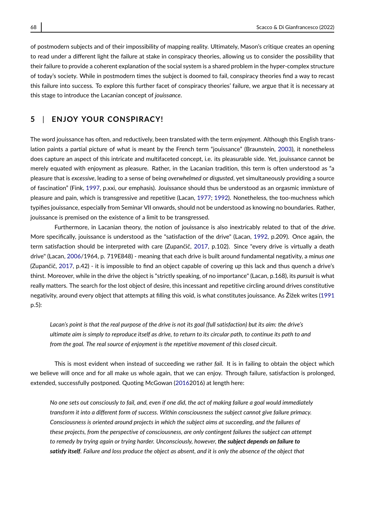of postmodern subjects and of their impossibility of mapping reality. Ultimately, Mason's critique creates an opening to read under a different light the failure at stake in conspiracy theories, allowing us to consider the possibility that their failure to provide a coherent explanation of the social system is a shared problem in the hyper-complex structure of today's society. While in postmodern times the subject is doomed to fail, conspiracy theories find a way to recast this failure into success. To explore this further facet of conspiracy theories' failure, we argue that it is necessary at this stage to introduce the Lacanian concept of *jouissance*.

#### **5** | **ENJOY YOUR CONSPIRACY!**

The word jouissance has often, and reductively, been translated with the term *enjoyment*. Although this English translation paints a partial picture of what is meant by the French term "jouissance" (Braunstein, [2003\)](#page-11-15), it nonetheless does capture an aspect of this intricate and multifaceted concept, i.e. its pleasurable side. Yet, jouissance cannot be merely equated with enjoyment as pleasure. Rather, in the Lacanian tradition, this term is often understood as "a pleasure that is *excessive*, leading to a sense of being *overwhelmed* or *disgusted*, yet simultaneously providing a source of fascination" (Fink, [1997,](#page-11-16) p.xxi, our emphasis). Jouissance should thus be understood as an orgasmic immixture of pleasure and pain, which is transgressive and repetitive (Lacan, [1977;](#page-12-13) [1992\)](#page-12-14). Nonetheless, the too-muchness which typifies jouissance, especially from Seminar VII onwards, should not be understood as knowing no boundaries. Rather, jouissance is premised on the existence of a limit to be transgressed.

Furthermore, in Lacanian theory, the notion of jouissance is also inextricably related to that of the *drive*. More specifically, jouissance is understood as the "satisfaction of the drive" (Lacan, [1992,](#page-12-14) p.209). Once again, the term satisfaction should be interpreted with care (Zupančič, [2017,](#page-14-8) p.102). Since "every drive is virtually a death drive" (Lacan, [2006/](#page-12-15)1964, p. 719E848) - meaning that each drive is built around fundamental negativity, a *minus one* (Zupančič, [2017,](#page-14-8) p.42) - it is impossible to find an object capable of covering up this lack and thus quench a drive's thirst. Moreover, while in the drive the object is "strictly speaking, of no importance" (Lacan, p.168), its *pursuit* is what really matters. The search for the lost object of desire, this incessant and repetitive circling around drives constitutive negativity, around every object that attempts at filling this void, is what constitutes jouissance. As Žižek writes [\(1991](#page-14-9) p.5):

*Lacan's point is that the real purpose of the drive is not its goal (full satisfaction) but its aim: the drive's ultimate aim is simply to reproduce itself as drive, to return to its circular path, to continue its path to and from the goal. The real source of enjoyment is the repetitive movement of this closed circuit.*

This is most evident when instead of succeeding we rather *fail*. It is in failing to obtain the object which we believe will once and for all make us whole again, that we can enjoy. Through failure, satisfaction is prolonged, extended, successfully postponed. Quoting McGowan [\(20162](#page-12-16)016) at length here:

*No one sets out consciously to fail, and, even if one did, the act of making failure a goal would immediately transform it into a different form of success. Within consciousness the subject cannot give failure primacy. Consciousness is oriented around projects in which the subject aims at succeeding, and the failures of these projects, from the perspective of consciousness, are only contingent failures the subject can attempt to remedy by trying again or trying harder. Unconsciously, however, the subject depends on failure to satisfy itself. Failure and loss produce the object as absent, and it is only the absence of the object that*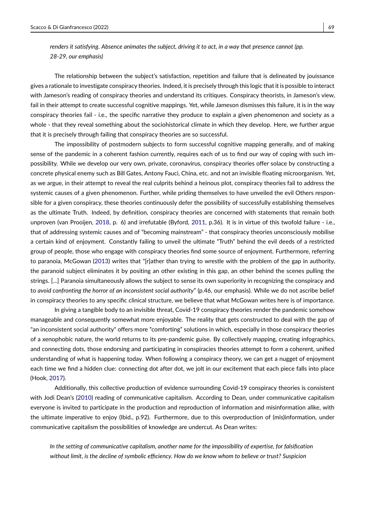*renders it satisfying. Absence animates the subject, driving it to act, in a way that presence cannot (pp. 28-29, our emphasis)*

The relationship between the subject's satisfaction, repetition and failure that is delineated by jouissance gives a rationale to investigate conspiracy theories. Indeed, it is precisely through this logic that it is possible to interact with Jameson's reading of conspiracy theories and understand its critiques. Conspiracy theorists, in Jameson's view, fail in their attempt to create successful cognitive mappings. Yet, while Jameson dismisses this failure, it is in the way conspiracy theories fail - i.e., the specific narrative they produce to explain a given phenomenon and society as a whole - that they reveal something about the sociohistorical climate in which they develop. Here, we further argue that it is precisely through failing that conspiracy theories are so successful.

The impossibility of postmodern subjects to form successful cognitive mapping generally, and of making sense of the pandemic in a coherent fashion currently, requires each of us to find our way of coping with such impossibility. While we develop our very own, private, coronavirus, conspiracy theories offer solace by constructing a concrete physical enemy such as Bill Gates, Antony Fauci, China, etc. and not an invisible floating microorganism. Yet, as we argue, in their attempt to reveal the real culprits behind a heinous plot, conspiracy theories fail to address the systemic causes of a given phenomenon. Further, while priding themselves to have unveiled the evil Others responsible for a given conspiracy, these theories continuously defer the possibility of successfully establishing themselves as the ultimate Truth. Indeed, by definition, conspiracy theories are concerned with statements that remain both unproven (van Prooijen, [2018,](#page-14-3) p. 6) and irrefutable (Byford, [2011,](#page-11-3) p.36). It is in virtue of this twofold failure - i.e., that of addressing systemic causes and of "becoming mainstream" - that conspiracy theories unconsciously mobilise a certain kind of enjoyment. Constantly failing to unveil the ultimate "Truth" behind the evil deeds of a restricted group of people, those who engage with conspiracy theories find some source of enjoyment. Furthermore, referring to paranoia, McGowan [\(2013\)](#page-12-17) writes that "[r]ather than trying to wrestle with the problem of the gap in authority, the paranoid subject eliminates it by positing an other existing in this gap, an other behind the scenes pulling the strings. [...] Paranoia simultaneously allows the subject to sense its own superiority in recognizing the conspiracy and to *avoid confronting the horror of an inconsistent social authority*" (p.46, our emphasis). While we do not ascribe belief in conspiracy theories to any specific clinical structure, we believe that what McGowan writes here is of importance.

In giving a tangible body to an invisible threat, Covid-19 conspiracy theories render the pandemic somehow manageable and consequently somewhat more enjoyable. The reality that gets constructed to deal with the gap of "an inconsistent social authority" offers more "comforting" solutions in which, especially in those conspiracy theories of a xenophobic nature, the world returns to its pre-pandemic guise. By collectively mapping, creating infographics, and connecting dots, those endorsing and participating in conspiracies theories attempt to form a coherent, unified understanding of what is happening today. When following a conspiracy theory, we can get a nugget of enjoyment each time we find a hidden clue: connecting dot after dot, we jolt in our excitement that each piece falls into place (Hook, [2017\)](#page-12-18).

Additionally, this collective production of evidence surrounding Covid-19 conspiracy theories is consistent with Jodi Dean's [\(2010\)](#page-11-17) reading of communicative capitalism. According to Dean, under communicative capitalism everyone is invited to participate in the production and reproduction of information and misinformation alike, with the ultimate imperative to enjoy (Ibid., p.92). Furthermore, due to this overproduction of (mis)information, under communicative capitalism the possibilities of knowledge are undercut. As Dean writes:

*In the setting of communicative capitalism, another name for the impossibility of expertise, for falsification without limit, is the decline of symbolic efficiency. How do we know whom to believe or trust? Suspicion*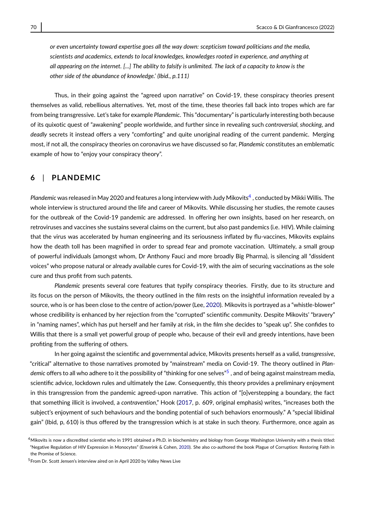*or even uncertainty toward expertise goes all the way down: scepticism toward politicians and the media, scientists and academics, extends to local knowledges, knowledges rooted in experience, and anything at all appearing on the internet. [...] The ability to falsify is unlimited. The lack of a capacity to know is the other side of the abundance of knowledge.' (Ibid., p.111)*

Thus, in their going against the "agreed upon narrative" on Covid-19, these conspiracy theories present themselves as valid, rebellious alternatives. Yet, most of the time, these theories fall back into tropes which are far from being transgressive. Let's take for example *Plandemic*. This "documentary" is particularly interesting both because of its quixotic quest of "awakening" people worldwide, and further since in revealing such *controversial, shocking*, and *deadly* secrets it instead offers a very "comforting" and quite unoriginal reading of the current pandemic. Merging most, if not all, the conspiracy theories on coronavirus we have discussed so far, *Plandemic* constitutes an emblematic example of how to "enjoy your conspiracy theory".

#### **6** | **PLANDEMIC**

*Plandemic* was released in May 2020 and features a long interview with Judy Mikovits[4](#page-8-0) , conducted by MikkiWillis. The whole interview is structured around the life and career of Mikovits. While discussing her studies, the remote causes for the outbreak of the Covid-19 pandemic are addressed. In offering her own insights, based on her research, on retroviruses and vaccines she sustains several claims on the current, but also past pandemics (i.e. HIV). While claiming that the virus was accelerated by human engineering and its seriousness inflated by flu-vaccines, Mikovits explains how the death toll has been magnified in order to spread fear and promote vaccination. Ultimately, a small group of powerful individuals (amongst whom, Dr Anthony Fauci and more broadly Big Pharma), is silencing all "dissident voices" who propose natural or already available cures for Covid-19, with the aim of securing vaccinations as the sole cure and thus profit from such patents.

*Plandemic* presents several core features that typify conspiracy theories. Firstly, due to its structure and its focus on the person of Mikovits, the theory outlined in the film rests on the insightful information revealed by a source, who is or has been close to the centre of action/power (Lee, [2020\)](#page-12-19). Mikovits is portrayed as a "whistle-blower" whose credibility is enhanced by her rejection from the "corrupted" scientific community. Despite Mikovits' "bravery" in "naming names", which has put herself and her family at risk, in the film she decides to "speak up". She confides to Willis that there is a small yet powerful group of people who, because of their evil and greedy intentions, have been profiting from the suffering of others.

In her going against the scientific and governmental advice, Mikovits presents herself as a valid, *transgressive*, "critical" alternative to those narratives promoted by "mainstream" media on Covid-19. The theory outlined in *Plandemic* offers to all who adhere to it the possibility of "thinking for one selves"[5](#page-8-1) , and of being against mainstream media, scientific advice, lockdown rules and ultimately the *Law*. Consequently, this theory provides a preliminary enjoyment in this transgression from the pandemic agreed-upon narrative. This action of "[o]verstepping a boundary, the fact that something illicit is involved, a *contravention*," Hook [\(2017,](#page-12-18) p. 609, original emphasis) writes, "increases both the subject's enjoyment of such behaviours and the bonding potential of such behaviors enormously." A "special libidinal gain" (Ibid, p, 610) is thus offered by the transgression which is at stake in such theory. Furthermore, once again as

<span id="page-8-0"></span> $4$ Mikovits is now a discredited scientist who in 1991 obtained a Ph.D. in biochemistry and biology from George Washington University with a thesis titled: "Negative Regulation of HIV Expression in Monocytes" (Enserink & Cohen, [2020\)](#page-11-18). She also co-authored the book Plague of Corruption: Restoring Faith in the Promise of Science.

<span id="page-8-1"></span><sup>&</sup>lt;sup>5</sup> From Dr. Scott Jensen's interview aired on in April 2020 by Valley News Live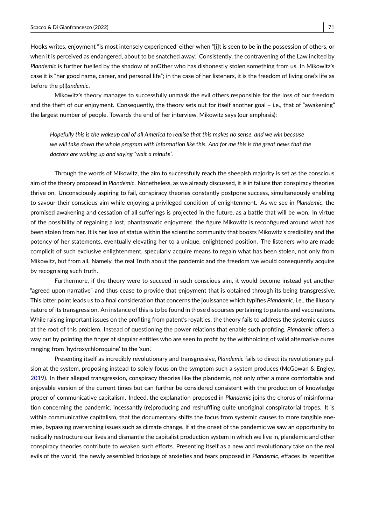Hooks writes, enjoyment "is most intensely experienced' either when "[i]t is seen to be in the possession of others, or when it is perceived as endangered, about to be snatched away." Consistently, the contravening of the Law incited by *Plandemic* is further fuelled by the shadow of anOther who has dishonestly stolen something from us. In Mikowitz's case it is "her good name, career, and personal life"; in the case of her listeners, it is the freedom of living one's life as before the p(l)*andemic*.

Mikowitz's theory manages to successfully unmask the evil others responsible for the loss of our freedom and the theft of our enjoyment. Consequently, the theory sets out for itself another goal – i.e., that of "awakening" the largest number of people. Towards the end of her interview, Mikowitz says (our emphasis):

*Hopefully this is the wakeup call of all America to realise that this makes no sense, and we win because we will take down the whole program with information like this. And for me this is the great news that the doctors are waking up and saying "wait a minute".*

Through the words of Mikowitz, the aim to successfully reach the sheepish majority is set as the conscious aim of the theory proposed in *Plandemic*. Nonetheless, as we already discussed, it is in failure that conspiracy theories thrive on. Unconsciously aspiring to fail, conspiracy theories constantly postpone success, simultaneously enabling to savour their conscious aim while enjoying a privileged condition of enlightenment. As we see in *Plandemic*, the promised awakening and cessation of all sufferings is projected in the future, as a battle that will be won. In virtue of the possibility of regaining a lost, phantasmatic enjoyment, the figure Mikowitz is reconfigured around what has been stolen from her. It is her loss of status within the scientific community that boosts Mikowitz's credibility and the potency of her statements, eventually elevating her to a unique, enlightened position. The listeners who are made complicit of such exclusive enlightenment, specularly acquire means to regain what has been stolen, not only from Mikowitz, but from all. Namely, the real Truth about the pandemic and the freedom we would consequently acquire by recognising such truth.

Furthermore, if the theory were to succeed in such conscious aim, it would become instead yet another "agreed upon narrative" and thus cease to provide that enjoyment that is obtained through its being transgressive. This latter point leads us to a final consideration that concerns the jouissance which typifies *Plandemic*, i.e., the illusory nature of its transgression. An instance of this is to be found in those discourses pertaining to patents and vaccinations. While raising important issues on the profiting from patent's royalties, the theory fails to address the systemic causes at the root of this problem. Instead of questioning the power relations that enable such profiting, *Plandemic* offers a way out by pointing the finger at singular entities who are seen to profit by the withholding of valid alternative cures ranging from 'hydroxychloroquine' to the 'sun'.

Presenting itself as incredibly revolutionary and transgressive, *Plandemic* fails to direct its revolutionary pulsion at the system, proposing instead to solely focus on the symptom such a system produces (McGowan & Engley, [2019\)](#page-12-20). In their alleged transgression, conspiracy theories like the plandemic, not only offer a more comfortable and enjoyable version of the current times but can further be considered consistent with the production of knowledge proper of communicative capitalism. Indeed, the explanation proposed in *Plandemic* joins the chorus of misinformation concerning the pandemic, incessantly (re)producing and reshuffling quite unoriginal conspiratorial tropes. It is within communicative capitalism, that the documentary shifts the focus from systemic causes to more tangible enemies, bypassing overarching issues such as climate change. If at the onset of the pandemic we saw an opportunity to radically restructure our lives and dismantle the capitalist production system in which we live in, plandemic and other conspiracy theories contribute to weaken such efforts. Presenting itself as a new and revolutionary take on the real evils of the world, the newly assembled bricolage of anxieties and fears proposed in *Plandemic*, effaces its repetitive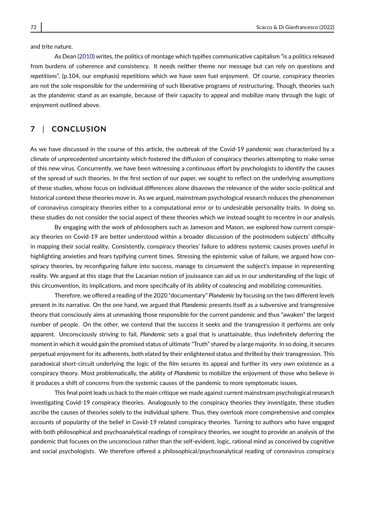and trite nature.

As Dean [\(2010\)](#page-11-17) writes, the politics of montage which typifies communicative capitalism "is a politics released from burdens of coherence and consistency. It needs neither theme nor message but can rely on questions and *repetitions*", (p.104, our emphasis) repetitions which we have seen fuel enjoyment. Of course, conspiracy theories are not the sole responsible for the undermining of such liberative programs of restructuring. Though, theories such as the plandemic stand as an example, because of their capacity to appeal and mobilize many through the logic of enjoyment outlined above.

# **7** | **CONCLUSION**

As we have discussed in the course of this article, the outbreak of the Covid-19 pandemic was characterized by a climate of unprecedented uncertainty which fostered the diffusion of conspiracy theories attempting to make sense of this new virus. Concurrently, we have been witnessing a continuous effort by psychologists to identify the causes of the spread of such theories. In the first section of our paper, we sought to reflect on the underlying assumptions of these studies, whose focus on individual differences alone disavows the relevance of the wider socio-political and historical context these theories move in. As we argued, mainstream psychological research reduces the phenomenon of coronavirus conspiracy theories either to a computational error or to undesirable personality traits. In doing so, these studies do not consider the social aspect of these theories which we instead sought to recentre in our analysis.

By engaging with the work of philosophers such as Jameson and Mason, we explored how current conspiracy theories on Covid-19 are better understood within a broader discussion of the postmodern subjects' difficulty in mapping their social reality. Consistently, conspiracy theories' failure to address systemic causes proves useful in highlighting anxieties and fears typifying current times. Stressing the epistemic value of failure, we argued how conspiracy theories, by reconfiguring failure into success, manage to circumvent the subject's impasse in representing reality. We argued at this stage that the Lacanian notion of jouissance can aid us in our understanding of the logic of this circumvention, its implications, and more specifically of its ability of coalescing and mobilizing communities.

Therefore, we offered a reading of the 2020 "documentary" *Plandemic* by focusing on the two different levels present in its narrative. On the one hand, we argued that *Plandemic* presents itself as a subversive and transgressive theory that consciously aims at unmasking those responsible for the current pandemic and thus "awaken" the largest number of people. On the other, we contend that the success it seeks and the transgression it performs are only apparent. Unconsciously striving to fail, *Plandemic* sets a goal that is unattainable, thus indefinitely deferring the moment in which it would gain the promised status of ultimate "Truth" shared by a large majority. In so doing, it secures perpetual enjoyment for its adherents, both elated by their enlightened status and thrilled by their transgression. This paradoxical short-circuit underlying the logic of the film secures its appeal and further its very own existence as a conspiracy theory. Most problematically, the ability of *Plandemic* to mobilize the enjoyment of those who believe in it produces a shift of concerns from the systemic causes of the pandemic to more symptomatic issues.

This final point leads us back to the main critique we made against current mainstream psychological research investigating Covid-19 conspiracy theories. Analogously to the conspiracy theories they investigate, these studies ascribe the causes of theories solely to the individual sphere. Thus, they overlook more comprehensive and complex accounts of popularity of the belief in Covid-19 related conspiracy theories. Turning to authors who have engaged with both philosophical and psychoanalytical readings of conspiracy theories, we sought to provide an analysis of the pandemic that focuses on the unconscious rather than the self-evident, logic, rational mind as conceived by cognitive and social psychologists. We therefore offered a philosophical/psychoanalytical reading of coronavirus conspiracy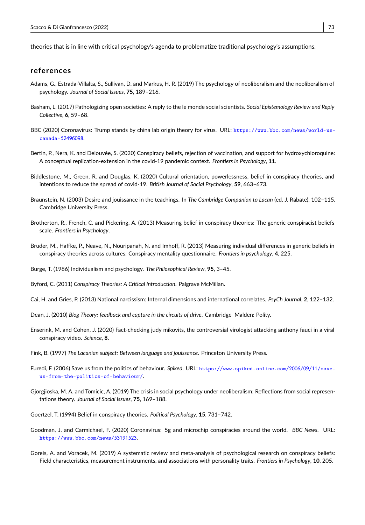theories that is in line with critical psychology's agenda to problematize traditional psychology's assumptions.

#### **references**

- <span id="page-11-14"></span>Adams, G., Estrada-Villalta, S., Sullivan, D. and Markus, H. R. (2019) The psychology of neoliberalism and the neoliberalism of psychology. *Journal of Social Issues*, **75**, 189–216.
- <span id="page-11-4"></span>Basham, L. (2017) Pathologizing open societies: A reply to the le monde social scientists. *Social Epistemology Review and Reply Collective*, **6**, 59–68.
- <span id="page-11-1"></span>BBC (2020) Coronavirus: Trump stands by china lab origin theory for virus. URL: [https://www.bbc.com/news/world-us](https://www.bbc.com/news/world-us-canada-52496098)canada-[52496098](https://www.bbc.com/news/world-us-canada-52496098).
- <span id="page-11-5"></span>Bertin, P., Nera, K. and Delouvée, S. (2020) Conspiracy beliefs, rejection of vaccination, and support for hydroxychloroquine: A conceptual replication-extension in the covid-19 pandemic context. *Frontiers in Psychology*, **11**.
- <span id="page-11-11"></span>Biddlestone, M., Green, R. and Douglas, K. (2020) Cultural orientation, powerlessness, belief in conspiracy theories, and intentions to reduce the spread of covid-19. *British Journal of Social Psychology*, **59**, 663–673.
- <span id="page-11-15"></span>Braunstein, N. (2003) Desire and jouissance in the teachings. In *The Cambridge Companion to Lacan* (ed. J. Rabate), 102–115. Cambridge University Press.
- <span id="page-11-8"></span>Brotherton, R., French, C. and Pickering, A. (2013) Measuring belief in conspiracy theories: The generic conspiracist beliefs scale. *Frontiers in Psychology*.
- <span id="page-11-7"></span>Bruder, M., Haffke, P., Neave, N., Nouripanah, N. and Imhoff, R. (2013) Measuring individual differences in generic beliefs in conspiracy theories across cultures: Conspiracy mentality questionnaire. *Frontiers in psychology*, **4**, 225.
- <span id="page-11-12"></span>Burge, T. (1986) Individualism and psychology. *The Philosophical Review*, **95**, 3–45.
- <span id="page-11-3"></span>Byford, C. (2011) *Conspiracy Theories: A Critical Introduction*. Palgrave McMillan.
- <span id="page-11-10"></span>Cai, H. and Gries, P. (2013) National narcissism: Internal dimensions and international correlates. *PsyCh Journal*, **2**, 122–132.
- <span id="page-11-17"></span>Dean, J. (2010) *Blog Theory: feedback and capture in the circuits of drive*. Cambridge Malden: Polity.
- <span id="page-11-18"></span>Enserink, M. and Cohen, J. (2020) Fact-checking judy mikovits, the controversial virologist attacking anthony fauci in a viral conspiracy video. *Science*, **8**.
- <span id="page-11-16"></span>Fink, B. (1997) *The Lacanian subject: Between language and jouissance*. Princeton University Press.
- <span id="page-11-9"></span>Furedi, F. (2006) Save us from the politics of behaviour. *Spiked*. URL: [https://www.spiked-online.com/](https://www.spiked-online.com/2006/09/11/save-us-from-the-politics-of-behaviour/)2006/09/11/save[us-from-the-politics-of-behaviour/](https://www.spiked-online.com/2006/09/11/save-us-from-the-politics-of-behaviour/).
- <span id="page-11-13"></span>Gjorgjioska, M. A. and Tomicic, A. (2019) The crisis in social psychology under neoliberalism: Reflections from social representations theory. *Journal of Social Issues*, **75**, 169–188.
- <span id="page-11-6"></span>Goertzel, T. (1994) Belief in conspiracy theories. *Political Psychology*, **15**, 731–742.
- <span id="page-11-0"></span>Goodman, J. and Carmichael, F. (2020) Coronavirus: 5g and microchip conspiracies around the world. *BBC News*. URL: [https://www.bbc.com/news/](https://www.bbc.com/news/53191523)53191523.
- <span id="page-11-2"></span>Goreis, A. and Voracek, M. (2019) A systematic review and meta-analysis of psychological research on conspiracy beliefs: Field characteristics, measurement instruments, and associations with personality traits. *Frontiers in Psychology*, **10**, 205.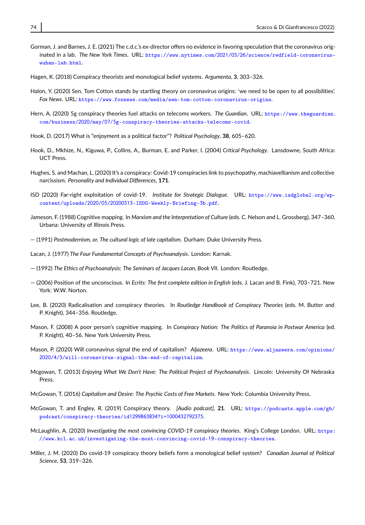- <span id="page-12-1"></span>Gorman, J. and Barnes, J. E. (2021) The c.d.c.'s ex-director offers no evidence in favoring speculation that the coronavirus originated in a lab. *The New York Times*. URL: https://www.nytimes.com/2021/03/26[/science/redfield-coronavirus](https://www.nytimes.com/2021/03/26/science/redfield-coronavirus-wuhan-lab.html)[wuhan-lab.html](https://www.nytimes.com/2021/03/26/science/redfield-coronavirus-wuhan-lab.html).
- <span id="page-12-6"></span>Hagen, K. (2018) Conspiracy theorists and monological belief systems. *Argumenta*, **3**, 303–326.
- <span id="page-12-5"></span>Halon, Y. (2020) Sen. Tom Cotton stands by startling theory on coronavirus origins: 'we need to be open to all possibilities'. *Fox News*. URL: <https://www.foxnews.com/media/sen-tom-cotton-coronavirus-origins>.
- <span id="page-12-4"></span>Hern, A. (2020) 5g conspiracy theories fuel attacks on telecoms workers. *The Guardian*. URL: [https://www.theguardian.](https://www.theguardian.com/business/2020/may/07/5g-conspiracy-theories-attacks-telecoms-covid) com/business/2020/may/07/5[g-conspiracy-theories-attacks-telecoms-covid](https://www.theguardian.com/business/2020/may/07/5g-conspiracy-theories-attacks-telecoms-covid).
- <span id="page-12-18"></span>Hook, D. (2017) What is "enjoyment as a political factor"? *Political Psychology*, **38**, 605–620.
- <span id="page-12-9"></span>Hook, D., Mkhize, N., Kiguwa, P., Collins, A., Burman, E. and Parker, I. (2004) *Critical Psychology*. Lansdowne, South Africa: UCT Press.
- <span id="page-12-8"></span>Hughes, S. and Machan, L. (2020) It's a conspiracy: Covid-19 conspiracies link to psychopathy, machiavellianism and collective narcissism. *Personality and Individual Differences*, **171**.
- <span id="page-12-3"></span>ISD (2020) Far-right exploitation of covid-19. *Institute for Strategic Dialogue*. URL: [https://www.isdglobal.org/wp](https://www.isdglobal.org/wp-content/uploads/2020/05/20200513-ISDG-Weekly-Briefing-3b.pdf)content/uploads/2020/05/20200513[-ISDG-Weekly-Briefing-](https://www.isdglobal.org/wp-content/uploads/2020/05/20200513-ISDG-Weekly-Briefing-3b.pdf)3b.pdf.
- <span id="page-12-10"></span>Jameson, F. (1988) Cognitive mapping. In *Marxism and the Interpretation of Culture* (eds. C. Nelson and L. Grossberg), 347–360. Urbana: University of Illinois Press.
- <span id="page-12-11"></span>— (1991) *Postmodernism, or, The cultural logic of late capitalism*. Durham: Duke University Press.
- <span id="page-12-13"></span>Lacan, J. (1977) *The Four Fundamental Concepts of Psychoanalysis*. London: Karnak.
- <span id="page-12-14"></span>— (1992) *The Ethics of Psychoanalysis: The Seminars of Jacques Lacan, Book VII*. London: Routledge.
- <span id="page-12-15"></span>— (2006) Position of the unconscious. In *Ecrits: The first complete edition in English* (eds. J. Lacan and B. Fink), 703–721. New York: W.W. Norton.
- <span id="page-12-19"></span>Lee, B. (2020) Radicalisation and conspiracy theories. In *Routledge Handbook of Conspiracy Theories* (eds. M. Butter and P. Knight), 344–356. Routledge.
- <span id="page-12-12"></span>Mason, F. (2008) A poor person's cognitive mapping. In *Conspiracy Nation: The Politics of Paranoia in Postwar America* (ed. P. Knight), 40–56. New York University Press.
- <span id="page-12-0"></span>Mason, P. (2020) Will coronavirus signal the end of capitalism? *Aljazeera*. URL: [https://www.aljazeera.com/opinions/](https://www.aljazeera.com/opinions/2020/4/3/will-coronavirus-signal-the-end-of-capitalism) 2020/4/3[/will-coronavirus-signal-the-end-of-capitalism](https://www.aljazeera.com/opinions/2020/4/3/will-coronavirus-signal-the-end-of-capitalism).
- <span id="page-12-17"></span>Mcgowan, T. (2013) *Enjoying What We Don't Have: The Political Project of Psychoanalysis*. Lincoln: University Of Nebraska Press.
- <span id="page-12-16"></span>McGowan, T. (2016) *Capitalism and Desire: The Psychic Costs of Free Markets*. New York: Columbia University Press.
- <span id="page-12-20"></span>McGowan, T. and Engley, R. (2019) Conspiracy theory. *[Audio podcast]*, **21**. URL: [https://podcasts.apple.com/gb/](https://podcasts.apple.com/gb/podcast/conspiracy-theories/id1299863834?i=1000432792375) [podcast/conspiracy-theories/id](https://podcasts.apple.com/gb/podcast/conspiracy-theories/id1299863834?i=1000432792375)1299863834?i=1000432792375.
- <span id="page-12-2"></span>McLaughlin, A. (2020) *Investigating the most convincing COVID-19 conspiracy theories*. King's College London. URL: [https:](https://www.kcl.ac.uk/investigating-the-most-convincing-covid-19-conspiracy-theories) [//www.kcl.ac.uk/investigating-the-most-convincing-covid-](https://www.kcl.ac.uk/investigating-the-most-convincing-covid-19-conspiracy-theories)19-conspiracy-theories.
- <span id="page-12-7"></span>Miller, J. M. (2020) Do covid-19 conspiracy theory beliefs form a monological belief system? *Canadian Journal of Political Science*, **53**, 319–326.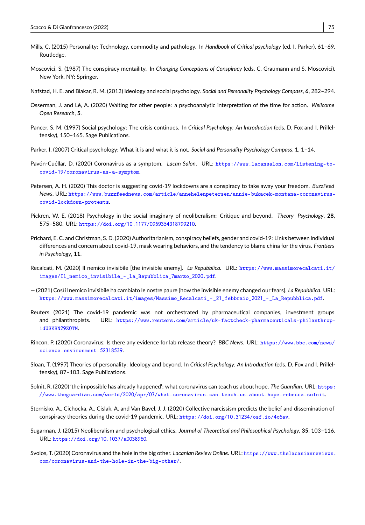- <span id="page-13-12"></span>Mills, C. (2015) Personality: Technology, commodity and pathology. In *Handbook of Critical psychology* (ed. I. Parker), 61–69. Routledge.
- <span id="page-13-10"></span>Moscovici, S. (1987) The conspiracy mentaility. In *Changing Conceptions of Conspiracy* (eds. C. Graumann and S. Moscovici). New York, NY: Springer.
- <span id="page-13-15"></span>Nafstad, H. E. and Blakar, R. M. (2012) Ideology and social psychology. *Social and Personality Psychology Compass*, **6**, 282–294.
- <span id="page-13-3"></span>Osserman, J. and Lê, A. (2020) Waiting for other people: a psychoanalytic interpretation of the time for action. *Wellcome Open Research*, **5**.
- <span id="page-13-14"></span>Pancer, S. M. (1997) Social psychology: The crisis continues. In *Critical Psychology: An Introduction* (eds. D. Fox and I. Prilleltensky), 150–165. Sage Publications.
- <span id="page-13-18"></span>Parker, I. (2007) Critical psychology: What it is and what it is not. *Social and Personality Psychology Compass*, **1**, 1–14.
- <span id="page-13-5"></span>Pavón-Cuéllar, D. (2020) Coronavirus as a symptom. *Lacan Salon*. URL: [https://www.lacansalon.com/listening-to](https://www.lacansalon.com/listening-to-covid-19/coronavirus-as-a-symptom)covid-19[/coronavirus-as-a-symptom](https://www.lacansalon.com/listening-to-covid-19/coronavirus-as-a-symptom).
- <span id="page-13-6"></span>Petersen, A. H. (2020) This doctor is suggesting covid-19 lockdowns are a conspiracy to take away your freedom. *BuzzFeed News*. URL: [https://www.buzzfeednews.com/article/annehelenpetersen/annie-bukacek-montana-coronavirus](https://www.buzzfeednews.com/article/annehelenpetersen/annie-bukacek-montana-coronavirus-covid-lockdown-protests)[covid-lockdown-protests](https://www.buzzfeednews.com/article/annehelenpetersen/annie-bukacek-montana-coronavirus-covid-lockdown-protests).
- <span id="page-13-17"></span>Pickren, W. E. (2018) Psychology in the social imaginary of neoliberalism: Critique and beyond. *Theory Psychology*, **28**, 575–580. URL: [https://doi.org/](https://doi.org/10.1177/0959354318799210)10.1177/0959354318799210.
- <span id="page-13-9"></span>Prichard, E. C. and Christman, S. D. (2020) Authoritarianism, conspiracy beliefs, gender and covid-19: Links between individual differences and concern about covid-19, mask wearing behaviors, and the tendency to blame china for the virus. *Frontiers in Psychology*, **11**.
- <span id="page-13-1"></span>Recalcati, M. (2020) Il nemico invisibile [the invisible enemy]. *La Repubblica.* URL: [https://www.massimorecalcati.it/](https://www.massimorecalcati.it/images/Il_nemico_invisibile_-_La_Repubblica_7marzo_2020.pdf) [images/Il\\_nemico\\_invisibile\\_-\\_La\\_Repubblica\\_](https://www.massimorecalcati.it/images/Il_nemico_invisibile_-_La_Repubblica_7marzo_2020.pdf)7marzo\_2020.pdf.
- <span id="page-13-0"></span>— (2021) Così il nemico invisibile ha cambiato le nostre paure [how the invisible enemy changed our fears]. *La Repubblica*. URL: [https://www.massimorecalcati.it/images/Massimo\\_Recalcati\\_-\\_](https://www.massimorecalcati.it/images/Massimo_Recalcati_-_21_febbraio_2021_-_La_Repubblica.pdf)21\_febbraio\_2021\_-\_La\_Repubblica.pdf.
- <span id="page-13-8"></span>Reuters (2021) The covid-19 pandemic was not orchestrated by pharmaceutical companies, investment groups and philanthropists. URL: [https://www.reuters.com/article/uk-factcheck-pharmaceuticals-philanthrop](https://www.reuters.com/article/uk-factcheck-pharmaceuticals-philanthrop-idUSKBN29Z0TM)[idUSKBN](https://www.reuters.com/article/uk-factcheck-pharmaceuticals-philanthrop-idUSKBN29Z0TM)29Z0TM.
- <span id="page-13-7"></span>Rincon, P. (2020) Coronavirus: Is there any evidence for lab release theory? *BBC News*. URL: [https://www.bbc.com/news/](https://www.bbc.com/news/science-environment-52318539) [science-environment-](https://www.bbc.com/news/science-environment-52318539)52318539.
- <span id="page-13-13"></span>Sloan, T. (1997) Theories of personality: Ideology and beyond. In *Critical Psychology: An Introduction* (eds. D. Fox and I. Prilleltensky), 87–103. Sage Publications.
- <span id="page-13-4"></span>Solnit, R. (2020) 'the impossible has already happened': what coronavirus can teach us about hope. *The Guardian*. URL: [https:](https://www.theguardian.com/world/2020/apr/07/what-coronavirus-can-teach-us-about-hope-rebecca-solnit) //www.theguardian.com/world/2020/apr/07[/what-coronavirus-can-teach-us-about-hope-rebecca-solnit](https://www.theguardian.com/world/2020/apr/07/what-coronavirus-can-teach-us-about-hope-rebecca-solnit).
- <span id="page-13-11"></span>Sternisko, A., Cichocka, A., Cislak, A. and Van Bavel, J. J. (2020) Collective narcissism predicts the belief and dissemination of conspiracy theories during the covid-19 pandemic. URL: [https://doi.org/](https://doi.org/10.31234/osf.io/4c6av)10.31234/osf.io/4c6av.
- <span id="page-13-16"></span>Sugarman, J. (2015) Neoliberalism and psychological ethics. *Journal of Theoretical and Philosophical Psychology*, **35**, 103–116. URL: [https://doi.org/](https://doi.org/10.1037/a0038960)10.1037/a0038960.
- <span id="page-13-2"></span>Svolos, T. (2020) Coronavirus and the hole in the big other. *Lacanian Review Online*. URL: [https://www.thelacanianreviews.](https://www.thelacanianreviews.com/coronavirus-and-the-hole-in-the-big-other/) [com/coronavirus-and-the-hole-in-the-big-other/](https://www.thelacanianreviews.com/coronavirus-and-the-hole-in-the-big-other/).